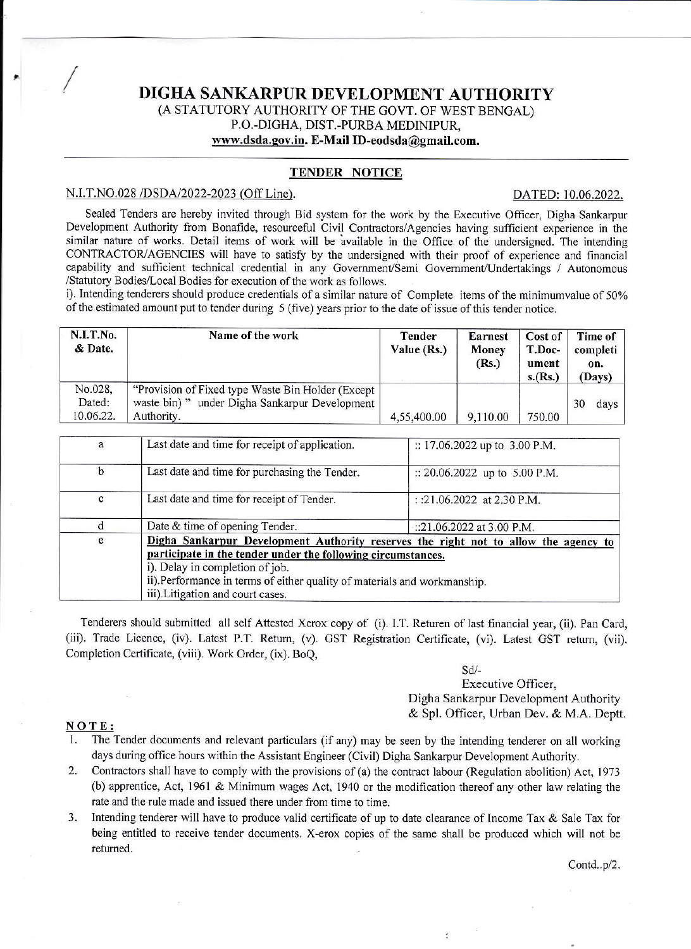## DIGHA SANKARPUR DEVELOPMENT AUTHORITY (A STATUTORY AUTHORITY OF THE GOVT, OF WEST BENGAL) P.O.-DIGHA, DIST.-PURBA MEDINIPUR, www.dsda.gov.in. E-Mail ID-eodsda@gmail.com.

## **TENDER NOTICE**

### N.I.T.NO.028/DSDA/2022-2023 (Off Line).

#### DATED: 10.06.2022.

Sealed Tenders are hereby invited through Bid system for the work by the Executive Officer, Digha Sankarpur Development Authority from Bonafide, resourceful Civil Contractors/Agencies having sufficient experience in the similar nature of works. Detail items of work will be available in the Office of the undersigned. The intending CONTRACTOR/AGENCIES will have to satisfy by the undersigned with their proof of experience and financial capability and sufficient technical credential in any Government/Semi Government/Undertakings / Autonomous /Statutory Bodies/Local Bodies for execution of the work as follows.

i). Intending tenderers should produce credentials of a similar nature of Complete items of the minimum value of 50% of the estimated amount put to tender during 5 (five) years prior to the date of issue of this tender notice.

| N.I.T.No.<br>& Date.           | Name of the work                                                                                                    | Tender<br>Value (Rs.) | Earnest<br>Money<br>(Rs.) | Cost of<br>T.Doc-<br>ument<br>s.(Rs.) | Time of  <br>completi  <br>on.<br>(Days) |
|--------------------------------|---------------------------------------------------------------------------------------------------------------------|-----------------------|---------------------------|---------------------------------------|------------------------------------------|
| No.028,<br>Dated:<br>10.06.22. | "Provision of Fixed type Waste Bin Holder (Except<br>under Digha Sankarpur Development<br>waste bin)"<br>Authority. | 4,55,400.00           | 9,110.00                  | 750.00                                | 30<br>$\frac{days}{ }$                   |

| a            | Last date and time for receipt of application.                                                                                                                                                                                                                                                          | :: $17.06.2022$ up to 3.00 P.M. |  |  |  |
|--------------|---------------------------------------------------------------------------------------------------------------------------------------------------------------------------------------------------------------------------------------------------------------------------------------------------------|---------------------------------|--|--|--|
| b            | Last date and time for purchasing the Tender.                                                                                                                                                                                                                                                           | :: 20.06.2022 up to 5.00 P.M.   |  |  |  |
| $\mathbf{c}$ | Last date and time for receipt of Tender.                                                                                                                                                                                                                                                               | : :21.06.2022 at 2.30 P.M.      |  |  |  |
|              | Date & time of opening Tender.                                                                                                                                                                                                                                                                          | ::21.06.2022 at 3.00 P.M.       |  |  |  |
| e            | Digha Sankarpur Development Authority reserves the right not to allow the agency to<br>participate in the tender under the following circumstances.<br>i). Delay in completion of job.<br>ii).Performance in terms of either quality of materials and workmanship.<br>iii). Litigation and court cases. |                                 |  |  |  |

Tenderers should submitted all self Attested Xerox copy of (i). I.T. Returen of last financial year, (ii). Pan Card, (iii). Trade Licence, (iv). Latest P.T. Return, (v). GST Registration Certificate, (vi). Latest GST return, (vii). Completion Certificate, (viii). Work Order, (ix). BoO,

> $Sd$ /-Executive Officer, Digha Sankarpur Development Authority & Spl. Officer, Urban Dev. & M.A. Deptt.

> > $\epsilon$

#### NOTE:

- The Tender documents and relevant particulars (if any) may be seen by the intending tenderer on all working  $1$ days during office hours within the Assistant Engineer (Civil) Digha Sankarpur Development Authority.
- $2.$ Contractors shall have to comply with the provisions of (a) the contract labour (Regulation abolition) Act, 1973 (b) apprentice, Act, 1961 & Minimum wages Act, 1940 or the modification thereof any other law relating the rate and the rule made and issued there under from time to time.
- Intending tenderer will have to produce valid certificate of up to date clearance of Income Tax & Sale Tax for  $3.$ being entitled to receive tender documents. X-erox copies of the same shall be produced which will not be returned.

Contd..p/2.